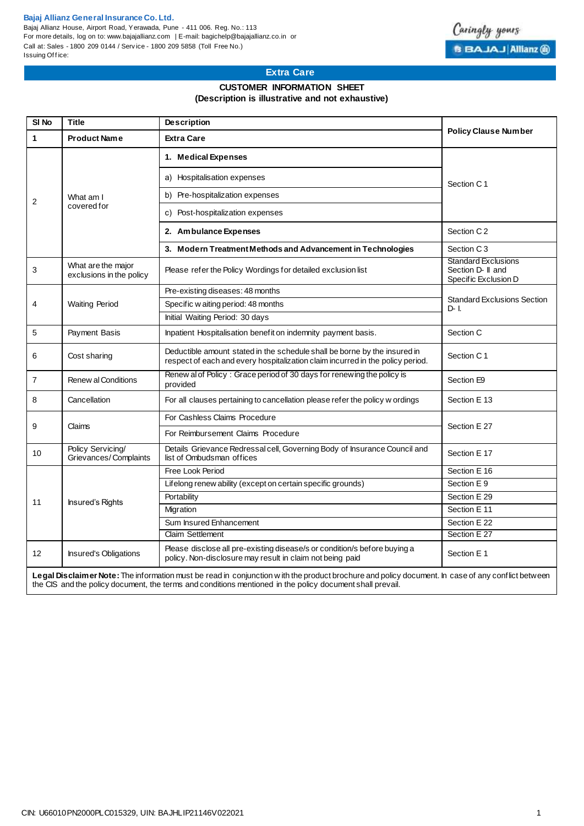#### **Bajaj Allianz General Insurance Co. Ltd.**

Bajaj Allianz House, Airport Road, Yerawada, Pune - 411 006. Reg. No.: 113 For more details, log on to: www.bajajallianz.com | E-mail: bagichelp@bajajallianz.co.in or Call at: Sales - 1800 209 0144 / Serv ice - 1800 209 5858 (Toll Free No.) Issuing Office:



## **Extra Care**

#### **CUSTOMER INFORMATION SHEET (Description is illustrative and not exhaustive)**

| SI <sub>No</sub>                                                                                                                                  | <b>Title</b>                                   | <b>Description</b>                                                                                                                                          | <b>Policy Clause Number</b>                                             |  |  |  |  |  |  |  |
|---------------------------------------------------------------------------------------------------------------------------------------------------|------------------------------------------------|-------------------------------------------------------------------------------------------------------------------------------------------------------------|-------------------------------------------------------------------------|--|--|--|--|--|--|--|
| 1                                                                                                                                                 | <b>Product Name</b>                            | <b>Extra Care</b>                                                                                                                                           |                                                                         |  |  |  |  |  |  |  |
| $\overline{2}$                                                                                                                                    | What am I<br>covered for                       | 1. Medical Expenses                                                                                                                                         | Section C1                                                              |  |  |  |  |  |  |  |
|                                                                                                                                                   |                                                | a) Hospitalisation expenses                                                                                                                                 |                                                                         |  |  |  |  |  |  |  |
|                                                                                                                                                   |                                                | b) Pre-hospitalization expenses                                                                                                                             |                                                                         |  |  |  |  |  |  |  |
|                                                                                                                                                   |                                                | c) Post-hospitalization expenses                                                                                                                            |                                                                         |  |  |  |  |  |  |  |
|                                                                                                                                                   |                                                | 2. Ambulance Expenses                                                                                                                                       | Section C <sub>2</sub>                                                  |  |  |  |  |  |  |  |
|                                                                                                                                                   |                                                | 3. Modern Treatment Methods and Advancement in Technologies                                                                                                 | Section C <sub>3</sub>                                                  |  |  |  |  |  |  |  |
| 3                                                                                                                                                 | What are the major<br>exclusions in the policy | Please refer the Policy Wordings for detailed exclusion list                                                                                                | <b>Standard Exclusions</b><br>Section D- II and<br>Specific Exclusion D |  |  |  |  |  |  |  |
|                                                                                                                                                   | <b>Waiting Period</b>                          | Pre-existing diseases: 48 months                                                                                                                            | <b>Standard Exclusions Section</b><br>$D - I$                           |  |  |  |  |  |  |  |
| 4                                                                                                                                                 |                                                | Specific w aiting period: 48 months                                                                                                                         |                                                                         |  |  |  |  |  |  |  |
|                                                                                                                                                   |                                                | Initial Waiting Period: 30 days                                                                                                                             |                                                                         |  |  |  |  |  |  |  |
| 5                                                                                                                                                 | Payment Basis                                  | Inpatient Hospitalisation benefit on indemnity payment basis.                                                                                               | Section C                                                               |  |  |  |  |  |  |  |
| 6                                                                                                                                                 | Cost sharing                                   | Deductible amount stated in the schedule shall be borne by the insured in<br>respect of each and every hospitalization claim incurred in the policy period. | Section C1                                                              |  |  |  |  |  |  |  |
| $\overline{7}$                                                                                                                                    | Renew al Conditions                            | Renew al of Policy: Grace period of 30 days for renewing the policy is<br>provided                                                                          | Section E9                                                              |  |  |  |  |  |  |  |
| 8                                                                                                                                                 | Cancellation                                   | For all clauses pertaining to cancellation please refer the policy w ordings                                                                                | Section E 13                                                            |  |  |  |  |  |  |  |
| 9                                                                                                                                                 | Claims                                         | For Cashless Claims Procedure                                                                                                                               | Section E 27                                                            |  |  |  |  |  |  |  |
|                                                                                                                                                   |                                                | For Reimbursement Claims Procedure                                                                                                                          |                                                                         |  |  |  |  |  |  |  |
| 10                                                                                                                                                | Policy Servicing/<br>Grievances/Complaints     | Details Grievance Redressal cell, Governing Body of Insurance Council and<br>list of Ombudsman offices                                                      | Section E 17                                                            |  |  |  |  |  |  |  |
| 11                                                                                                                                                | <b>Insured's Rights</b>                        | Free Look Period                                                                                                                                            | Section E 16                                                            |  |  |  |  |  |  |  |
|                                                                                                                                                   |                                                | Lifelong renew ability (except on certain specific grounds)                                                                                                 | Section E 9                                                             |  |  |  |  |  |  |  |
|                                                                                                                                                   |                                                | Portability                                                                                                                                                 | Section E 29                                                            |  |  |  |  |  |  |  |
|                                                                                                                                                   |                                                | Migration                                                                                                                                                   | Section E 11                                                            |  |  |  |  |  |  |  |
|                                                                                                                                                   |                                                | Sum Insured Enhancement                                                                                                                                     | Section E 22                                                            |  |  |  |  |  |  |  |
|                                                                                                                                                   |                                                | <b>Claim Settlement</b>                                                                                                                                     | Section E 27                                                            |  |  |  |  |  |  |  |
| 12 <sup>2</sup>                                                                                                                                   | <b>Insured's Obligations</b>                   | Please disclose all pre-existing disease/s or condition/s before buying a<br>policy. Non-disclosure may result in claim not being paid                      | Section E 1                                                             |  |  |  |  |  |  |  |
| Legal Disclaimer Note: The information must be read in conjunction with the product brochure and policy document. In case of any conflict between |                                                |                                                                                                                                                             |                                                                         |  |  |  |  |  |  |  |

the CIS and the policy document, the terms and conditions mentioned in the policy document shall prevail.